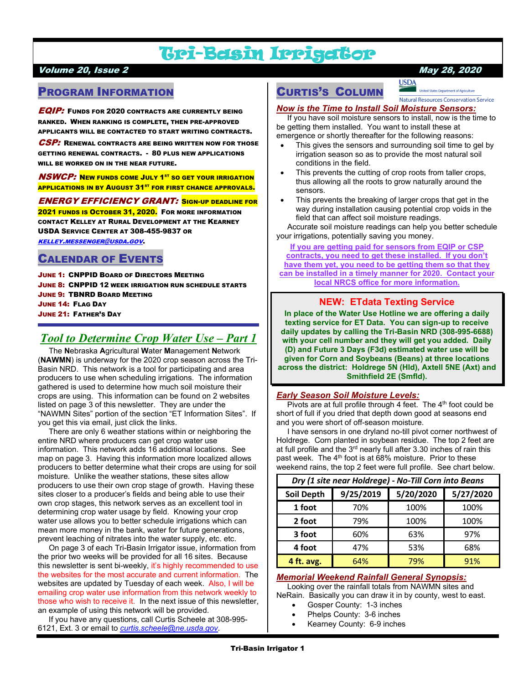# Tri-Basin Irrigator

#### Volume 20, Issue 2 May 28, 2020

## PROGRAM INFORMATION

EQIP: FUNDS FOR 2020 CONTRACTS ARE CURRENTLY BEING RANKED. WHEN RANKING IS COMPLETE, THEN PRE-APPROVED APPLICANTS WILL BE CONTACTED TO START WRITING CONTRACTS.

CSP: RENEWAL CONTRACTS ARE BEING WRITTEN NOW FOR THOSE GETTING RENEWAL CONTRACTS. - 80 PLUS NEW APPLICATIONS WILL BE WORKED ON IN THE NEAR FUTURE.

**NSWCP:** NEW FUNDS COME JULY 1<sup>ST</sup> SO GET YOUR IRRIGATION **APPLICATIONS IN BY AUGUST 31<sup>ST</sup> FOR FIRST CHANCE APPROVALS.** 

#### ENERGY EFFICIENCY GRANT: SIGN-UP DEADLINE FOR

2021 FUNDS IS OCTOBER 31, 2020. FOR MORE INFORMATION CONTACT KELLEY AT RURAL DEVELOPMENT AT THE KEARNEY USDA SERVICE CENTER AT 308-455-9837 OR [KELLEY.MESSENGER@USDA.GOV](mailto:kelley.messenger@usda.gov).

### CALENDAR OF EVENTS

**JUNE 1: CNPPID BOARD OF DIRECTORS MEETING** JUNE 8: CNPPID 12 WEEK IRRIGATION RUN SCHEDULE STARTS JUNE 9: TBNRD BOARD MEETING JUNE 14: FLAG DAY JUNE 21: FATHER'S DAY

## *Tool to Determine Crop Water Use – Part 1*

 The **N**ebraska **A**gricultural **W**ater **M**anagement **N**etwork (**NAWMN**) is underway for the 2020 crop season across the Tri-Basin NRD. This network is a tool for participating and area producers to use when scheduling irrigations. The information gathered is used to determine how much soil moisture their crops are using. This information can be found on 2 websites listed on page 3 of this newsletter. They are under the "NAWMN Sites" portion of the section "ET Information Sites". If you get this via email, just click the links.

 There are only 6 weather stations within or neighboring the entire NRD where producers can get crop water use information. This network adds 16 additional locations. See map on page 3. Having this information more localized allows producers to better determine what their crops are using for soil moisture. Unlike the weather stations, these sites allow producers to use their own crop stage of growth. Having these sites closer to a producer's fields and being able to use their own crop stages, this network serves as an excellent tool in determining crop water usage by field. Knowing your crop water use allows you to better schedule irrigations which can mean more money in the bank, water for future generations, prevent leaching of nitrates into the water supply, etc. etc.

 On page 3 of each Tri-Basin Irrigator issue, information from the prior two weeks will be provided for all 16 sites. Because this newsletter is sent bi-weekly, it's highly recommended to use the websites for the most accurate and current information. The websites are updated by Tuesday of each week. Also, I will be emailing crop water use information from this network weekly to those who wish to receive it. In the next issue of this newsletter, an example of using this network will be provided.

 If you have any questions, call Curtis Scheele at 308-995- 6121, Ext. 3 or email to *[curtis.scheele@ne.usda.gov](mailto:curtis.scheele@ne.usda.gov)*.

# CURTIS'S COLUMN

**USDA Inited States Department of Agriculture Natural Resources Conservation Service** 

#### *Now is the Time to Install Soil Moisture Sensors:*

 If you have soil moisture sensors to install, now is the time to be getting them installed. You want to install these at emergence or shortly thereafter for the following reasons:

- This gives the sensors and surrounding soil time to gel by irrigation season so as to provide the most natural soil conditions in the field.
- This prevents the cutting of crop roots from taller crops, thus allowing all the roots to grow naturally around the sensors.
- This prevents the breaking of larger crops that get in the way during installation causing potential crop voids in the field that can affect soil moisture readings.

 Accurate soil moisture readings can help you better schedule your irrigations, potentially saving you money.

**If you are getting paid for sensors from EQIP or CSP contracts, you need to get these installed. If you don't have them yet, you need to be getting them so that they can be installed in a timely manner for 2020. Contact your local NRCS office for more information.**

#### **NEW: ETdata Texting Service**

**In place of the Water Use Hotline we are offering a daily texting service for ET Data. You can sign-up to receive daily updates by calling the Tri-Basin NRD (308-995-6688) with your cell number and they will get you added. Daily (D) and Future 3 Days (F3d) estimated water use will be given for Corn and Soybeans (Beans) at three locations across the district: Holdrege 5N (Hld), Axtell 5NE (Axt) and Smithfield 2E (Smfld).**

#### *Early Season Soil Moisture Levels:*

Pivots are at full profile through 4 feet. The  $4<sup>th</sup>$  foot could be short of full if you dried that depth down good at seasons end and you were short of off-season moisture.

 I have sensors in one dryland no-till pivot corner northwest of Holdrege. Corn planted in soybean residue. The top 2 feet are at full profile and the  $3<sup>rd</sup>$  nearly full after 3.30 inches of rain this past week. The 4<sup>th</sup> foot is at 68% moisture. Prior to these weekend rains, the top 2 feet were full profile. See chart below.

| Dry (1 site near Holdrege) - No-Till Corn into Beans |           |           |           |
|------------------------------------------------------|-----------|-----------|-----------|
| <b>Soil Depth</b>                                    | 9/25/2019 | 5/20/2020 | 5/27/2020 |
| 1 foot                                               | 70%       | 100%      | 100%      |
| 2 foot                                               | 79%       | 100%      | 100%      |
| 3 foot                                               | 60%       | 63%       | 97%       |
| 4 foot                                               | 47%       | 53%       | 68%       |
| 4 ft. avg.                                           | 64%       | 79%       | 91%       |

#### *Memorial Weekend Rainfall General Synopsis:*

 Looking over the rainfall totals from NAWMN sites and NeRain. Basically you can draw it in by county, west to east.

- Gosper County: 1-3 inches
- Phelps County: 3-6 inches
- Kearney County: 6-9 inches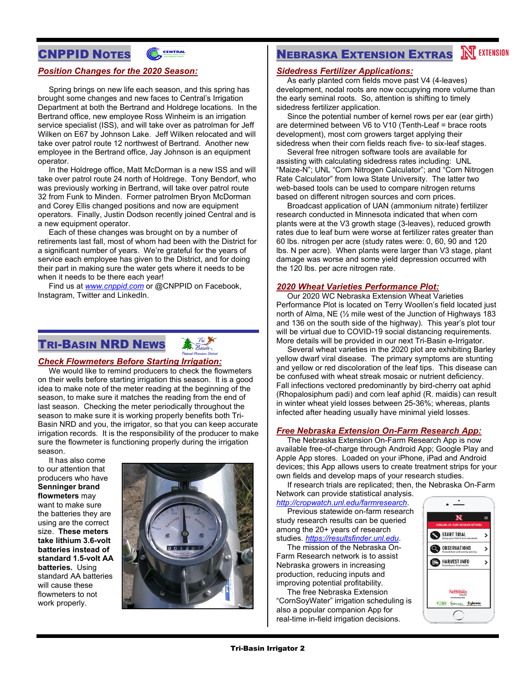# CNPPID NOTES



#### *Position Changes for the 2020 Season:*

 Spring brings on new life each season, and this spring has brought some changes and new faces to Central's Irrigation Department at both the Bertrand and Holdrege locations. In the Bertrand office, new employee Ross Winheim is an irrigation service specialist (ISS), and will take over as patrolman for Jeff Wilken on E67 by Johnson Lake. Jeff Wilken relocated and will take over patrol route 12 northwest of Bertrand. Another new employee in the Bertrand office, Jay Johnson is an equipment operator.

 In the Holdrege office, Matt McDorman is a new ISS and will take over patrol route 24 north of Holdrege. Tony Bendorf, who was previously working in Bertrand, will take over patrol route 32 from Funk to Minden. Former patrolmen Bryon McDorman and Corey Ellis changed positions and now are equipment operators. Finally, Justin Dodson recently joined Central and is a new equipment operator.

 Each of these changes was brought on by a number of retirements last fall, most of whom had been with the District for a significant number of years. We're grateful for the years of service each employee has given to the District, and for doing their part in making sure the water gets where it needs to be when it needs to be there each year!

 Find us at *[www.cnppid.com](http://www.cnppid.com/)* or @CNPPID on Facebook, Instagram, Twitter and LinkedIn.

## TRI-BASIN NRD NEWS



 We would like to remind producers to check the flowmeters on their wells before starting irrigation this season. It is a good idea to make note of the meter reading at the beginning of the season, to make sure it matches the reading from the end of last season. Checking the meter periodically throughout the season to make sure it is working properly benefits both Tri-Basin NRD and you, the irrigator, so that you can keep accurate irrigation records. It is the responsibility of the producer to make sure the flowmeter is functioning properly during the irrigation season.

 It has also come to our attention that producers who have **Senninger brand flowmeters** may want to make sure the batteries they are using are the correct size. **These meters take lithium 3.6-volt batteries instead of standard 1.5-volt AA batteries.** Using standard AA batteries will cause these flowmeters to not work properly.



 $\mathcal{T}^{i}$ 

# **NEBRASKA EXTENSION EXTRAS NEXTENSION**

#### *Sidedress Fertilizer Applications:*

 As early planted corn fields move past V4 (4-leaves) development, nodal roots are now occupying more volume than the early seminal roots. So, attention is shifting to timely sidedress fertilizer application.

 Since the potential number of kernel rows per ear (ear girth) are determined between V6 to V10 (Tenth-Leaf = brace roots development), most corn growers target applying their sidedress when their corn fields reach five- to six-leaf stages.

 Several free nitrogen software tools are available for assisting with calculating sidedress rates including: UNL "Maize-N"; UNL "Corn Nitrogen Calculator"; and "Corn Nitrogen Rate Calculator" from Iowa State University. The latter two web-based tools can be used to compare nitrogen returns based on different nitrogen sources and corn prices.

 Broadcast application of UAN (ammonium nitrate) fertilizer research conducted in Minnesota indicated that when corn plants were at the V3 growth stage (3-leaves), reduced growth rates due to leaf burn were worse at fertilizer rates greater than 60 lbs. nitrogen per acre (study rates were: 0, 60, 90 and 120 lbs. N per acre). When plants were larger than V3 stage, plant damage was worse and some yield depression occurred with the 120 lbs. per acre nitrogen rate.

#### *2020 Wheat Varieties Performance Plot:*

 Our 2020 WC Nebraska Extension Wheat Varieties Performance Plot is located on Terry Woollen's field located just north of Alma, NE (½ mile west of the Junction of Highways 183 and 136 on the south side of the highway). This year's plot tour will be virtual due to COVID-19 social distancing requirements. More details will be provided in our next Tri-Basin e-Irrigator.

 Several wheat varieties in the 2020 plot are exhibiting Barley yellow dwarf viral disease. The primary symptoms are stunting and yellow or red discoloration of the leaf tips. This disease can be confused with wheat streak mosaic or nutrient deficiency. Fall infections vectored predominantly by bird-cherry oat aphid (Rhopalosiphum padi) and corn leaf aphid (R. maidis) can result in winter wheat yield losses between 25-36%; whereas, plants infected after heading usually have minimal yield losses.

#### *Free Nebraska Extension On-Farm Research App:*

 The Nebraska Extension On-Farm Research App is now available free-of-charge through Android App; Google Play and Apple App stores. Loaded on your iPhone, iPad and Android devices; this App allows users to create treatment strips for your own fields and develop maps of your research studies.

 If research trials are replicated; then, the Nebraska On-Farm Network can provide statistical analysis. *<http://cropwatch.unl.edu/farmresearch>*.

 Previous statewide on-farm research study research results can be queried among the 20+ years of research studies. *[https://resultsfinder.unl.edu](https://resultsfinder.unl.edu/)*.

 The mission of the Nebraska On-Farm Research network is to assist Nebraska growers in increasing production, reducing inputs and improving potential profitability.

 The free Nebraska Extension "CornSoyWater" irrigation scheduling is also a popular companion App for real-time in-field irrigation decisions.

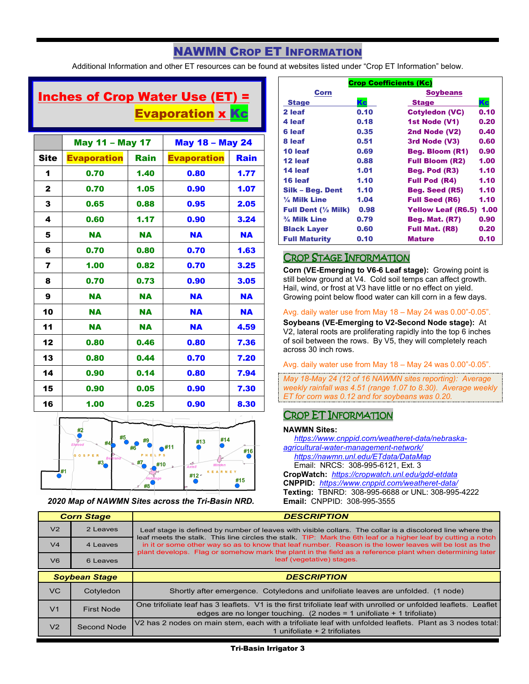## NAWMN CROP ET INFORMATION

Additional Information and other ET resources can be found at websites listed under "Crop ET Information" below.

# Inches of Crop Water Use (ET) = Evaporation x Kc

|              | <b>May 11 - May 17</b> |             | <b>May 18 - May 24</b> |           |
|--------------|------------------------|-------------|------------------------|-----------|
| <b>Site</b>  | <b>Evaporation</b>     | <b>Rain</b> | <b>Evaporation</b>     | Rain      |
| 1            | 0.70                   | 1.40        | 0.80                   | 1.77      |
| $\mathbf{2}$ | 0.70                   | 1.05        | 0.90                   | 1.07      |
| 3            | 0.65                   | 0.88        | 0.95                   | 2.05      |
| 4            | 0.60                   | 1.17        | 0.90                   | 3.24      |
| 5            | <b>NA</b>              | <b>NA</b>   | <b>NA</b>              | <b>NA</b> |
| 6            | 0.70                   | 0.80        | 0.70                   | 1.63      |
| 7            | 1.00                   | 0.82        | 0.70                   | 3.25      |
| 8            | 0.70                   | 0.73        | 0.90                   | 3.05      |
| 9            | <b>NA</b>              | <b>NA</b>   | <b>NA</b>              | <b>NA</b> |
| 10           | <b>NA</b>              | <b>NA</b>   | <b>NA</b>              | <b>NA</b> |
| 11           | <b>NA</b>              | <b>NA</b>   | <b>NA</b>              | 4.59      |
| 12           | 0.80                   | 0.46        | 0.80                   | 7.36      |
| 13           | 0.80                   | 0.44        | 0.70                   | 7.20      |
| 14           | 0.90                   | 0.14        | 0.80                   | 7.94      |
| 15           | 0.90                   | 0.05        | 0.90                   | 7.30      |
| 16           | 1.00                   | 0.25        | 0.90                   | 8.30      |



*2020 Map of NAWMN Sites across the Tri-Basin NRD.*

| <b>Crop Coefficients (Kc)</b>  |      |                           |      |
|--------------------------------|------|---------------------------|------|
| Corn                           |      | <b>Soybeans</b>           |      |
| <b>Stage</b>                   | Kc   | <b>Stage</b>              | Kc   |
| 2 leaf                         | 0.10 | <b>Cotyledon (VC)</b>     | 0.10 |
| 4 leaf                         | 0.18 | 1st Node (V1)             | 0.20 |
| 6 leaf                         | 0.35 | 2nd Node (V2)             | 0.40 |
| 8 leaf                         | 0.51 | 3rd Node (V3)             | 0.60 |
| 10 leaf                        | 0.69 | <b>Beg. Bloom (R1)</b>    | 0.90 |
| 12 leaf                        | 0.88 | <b>Full Bloom (R2)</b>    | 1.00 |
| 14 leaf                        | 1.01 | Beg. Pod (R3)             | 1.10 |
| 16 leaf                        | 1.10 | <b>Full Pod (R4)</b>      | 1.10 |
| Silk – Beg. Dent               | 1.10 | <b>Beg. Seed (R5)</b>     | 1.10 |
| 1/4 Milk Line                  | 1.04 | <b>Full Seed (R6)</b>     | 1.10 |
| Full Dent $(\frac{1}{2}$ Milk) | 0.98 | <b>Yellow Leaf (R6.5)</b> | 1.00 |
| $\frac{3}{4}$ Milk Line        | 0.79 | <b>Beg. Mat. (R7)</b>     | 0.90 |
| <b>Black Layer</b>             | 0.60 | <b>Full Mat. (R8)</b>     | 0.20 |
| <b>Full Maturity</b>           | 0.10 | <b>Mature</b>             | 0.10 |

#### CROP STAGE INFORMATION

**Corn (VE-Emerging to V6-6 Leaf stage):** Growing point is still below ground at V4. Cold soil temps can affect growth. Hail, wind, or frost at V3 have little or no effect on yield. Growing point below flood water can kill corn in a few days.

#### Avg. daily water use from May 18 – May 24 was 0.00"-0.05".

**Soybeans (VE-Emerging to V2-Second Node stage):** At V2, lateral roots are proliferating rapidly into the top 6 inches of soil between the rows. By V5, they will completely reach across 30 inch rows.

Avg. daily water use from May 18 – May 24 was 0.00"-0.05".

*May 18-May 24 (12 of 16 NAWMN sites reporting): Average weekly rainfall was 4.51 (range 1.07 to 8.30). Average weekly ET for corn was 0.12 and for soybeans was 0.20.*

### CROP ET INFORMATION

#### **NAWMN Sites:**

 *[https://www.cnppid.com/weatheret-data/nebraska](https://www.cnppid.com/weatheret-data/nebraska-agricultural-water-management-network/)[agricultural-water-management-network/](https://www.cnppid.com/weatheret-data/nebraska-agricultural-water-management-network/)*

*<https://nawmn.unl.edu/ETdata/DataMap>*

Email: NRCS: 308-995-6121, Ext. 3

**CropWatch:** *<https://cropwatch.unl.edu/gdd-etdata>* **CNPPID:** *<https://www.cnppid.com/weatheret-data/>* **Texting:** TBNRD: 308-995-6688 or UNL: 308-995-4222 **Email:** CNPPID: 308-995-3555

|                | <b>Corn Stage</b>    | <b>DESCRIPTION</b>                                                                                                                                                                                                                                                                                                                                              |  |
|----------------|----------------------|-----------------------------------------------------------------------------------------------------------------------------------------------------------------------------------------------------------------------------------------------------------------------------------------------------------------------------------------------------------------|--|
| V <sub>2</sub> | 2 Leaves             | Leaf stage is defined by number of leaves with visible collars. The collar is a discolored line where the                                                                                                                                                                                                                                                       |  |
| V <sub>4</sub> | 4 Leaves             | leaf meets the stalk. This line circles the stalk. TIP: Mark the 6th leaf or a higher leaf by cutting a notch<br>in it or some other way so as to know that leaf number. Reason is the lower leaves will be lost as the<br>plant develops. Flag or somehow mark the plant in the field as a reference plant when determining later<br>leaf (vegetative) stages. |  |
| V <sub>6</sub> | 6 Leaves             |                                                                                                                                                                                                                                                                                                                                                                 |  |
|                |                      | <b>DESCRIPTION</b>                                                                                                                                                                                                                                                                                                                                              |  |
|                | <b>Soybean Stage</b> |                                                                                                                                                                                                                                                                                                                                                                 |  |
| VC.            | Cotyledon            | Shortly after emergence. Cotyledons and unifoliate leaves are unfolded. (1 node)                                                                                                                                                                                                                                                                                |  |
| V <sub>1</sub> | <b>First Node</b>    | One trifoliate leaf has 3 leaflets. V1 is the first trifoliate leaf with unrolled or unfolded leaflets. Leaflet<br>edges are no longer touching. $(2$ nodes = 1 unifoliate + 1 trifoliate)                                                                                                                                                                      |  |